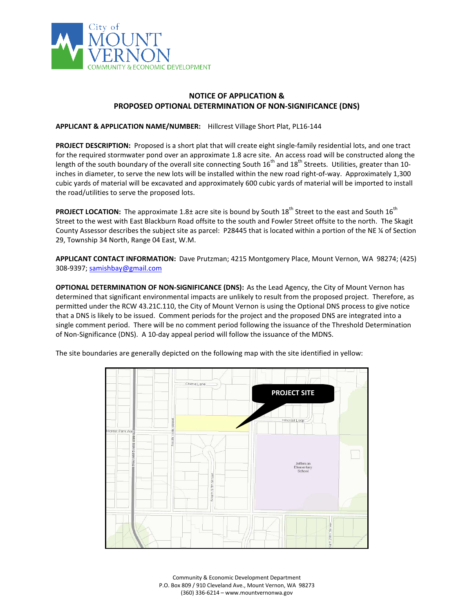

## **NOTICE OF APPLICATION & PROPOSED OPTIONAL DETERMINATION OF NON-SIGNIFICANCE (DNS)**

**APPLICANT & APPLICATION NAME/NUMBER:** Hillcrest Village Short Plat, PL16-144

**PROJECT DESCRIPTION:** Proposed is a short plat that will create eight single-family residential lots, and one tract for the required stormwater pond over an approximate 1.8 acre site. An access road will be constructed along the length of the south boundary of the overall site connecting South  $16^{th}$  and  $18^{th}$  Streets. Utilities, greater than 10inches in diameter, to serve the new lots will be installed within the new road right-of-way. Approximately 1,300 cubic yards of material will be excavated and approximately 600 cubic yards of material will be imported to install the road/utilities to serve the proposed lots.

**PROJECT LOCATION:** The approximate 1.8± acre site is bound by South 18<sup>th</sup> Street to the east and South 16<sup>th</sup> Street to the west with East Blackburn Road offsite to the south and Fowler Street offsite to the north. The Skagit County Assessor describes the subject site as parcel: P28445 that is located within a portion of the NE ¼ of Section 29, Township 34 North, Range 04 East, W.M.

**APPLICANT CONTACT INFORMATION:** Dave Prutzman; 4215 Montgomery Place, Mount Vernon, WA 98274; (425) 308-9397[; samishbay@gmail.com](mailto:samishbay@gmail.com)

**OPTIONAL DETERMINATION OF NON-SIGNIFICANCE (DNS):** As the Lead Agency, the City of Mount Vernon has determined that significant environmental impacts are unlikely to result from the proposed project. Therefore, as permitted under the RCW 43.21C.110, the City of Mount Vernon is using the Optional DNS process to give notice that a DNS is likely to be issued. Comment periods for the project and the proposed DNS are integrated into a single comment period. There will be no comment period following the issuance of the Threshold Determination of Non-Significance (DNS). A 10-day appeal period will follow the issuance of the MDNS.



The site boundaries are generally depicted on the following map with the site identified in yellow:

Community & Economic Development Department P.O. Box 809 / 910 Cleveland Ave., Mount Vernon, WA 98273 (360) 336-6214 – www.mountvernonwa.gov